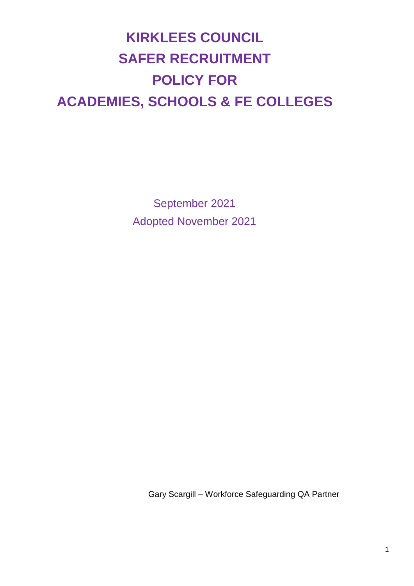# **KIRKLEES COUNCIL SAFER RECRUITMENT POLICY FOR ACADEMIES, SCHOOLS & FE COLLEGES**

September 2021 Adopted November 2021

Gary Scargill – Workforce Safeguarding QA Partner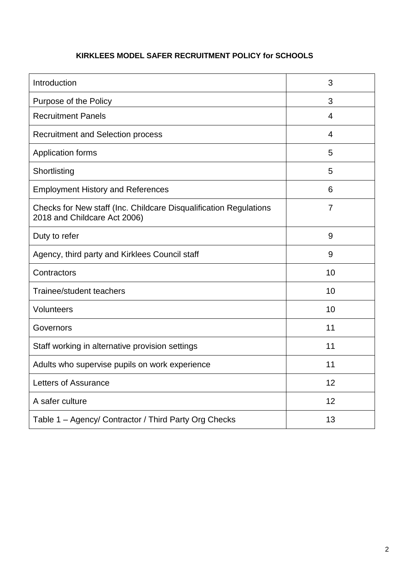# **KIRKLEES MODEL SAFER RECRUITMENT POLICY for SCHOOLS**

| Introduction                                                                                      | 3              |
|---------------------------------------------------------------------------------------------------|----------------|
| Purpose of the Policy                                                                             | 3              |
| <b>Recruitment Panels</b>                                                                         | $\overline{4}$ |
| <b>Recruitment and Selection process</b>                                                          | $\overline{4}$ |
| Application forms                                                                                 | 5              |
| Shortlisting                                                                                      | 5              |
| <b>Employment History and References</b>                                                          | 6              |
| Checks for New staff (Inc. Childcare Disqualification Regulations<br>2018 and Childcare Act 2006) | $\overline{7}$ |
| Duty to refer                                                                                     | 9              |
| Agency, third party and Kirklees Council staff                                                    | 9              |
| Contractors                                                                                       | 10             |
| Trainee/student teachers                                                                          | 10             |
| Volunteers                                                                                        | 10             |
| Governors                                                                                         | 11             |
| Staff working in alternative provision settings                                                   | 11             |
| Adults who supervise pupils on work experience                                                    | 11             |
| Letters of Assurance                                                                              | 12             |
| A safer culture                                                                                   | 12             |
| Table 1 - Agency/ Contractor / Third Party Org Checks                                             | 13             |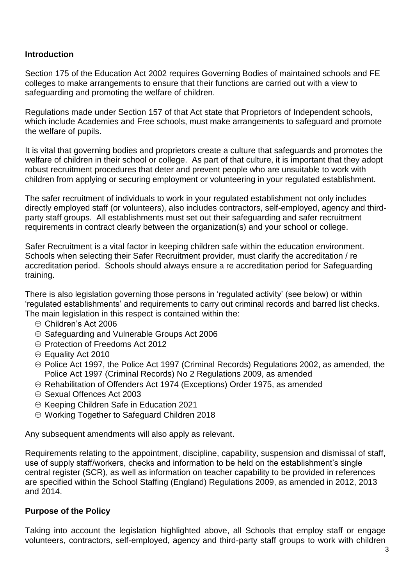#### **Introduction**

Section 175 of the Education Act 2002 requires Governing Bodies of maintained schools and FE colleges to make arrangements to ensure that their functions are carried out with a view to safeguarding and promoting the welfare of children.

Regulations made under Section 157 of that Act state that Proprietors of Independent schools, which include Academies and Free schools, must make arrangements to safeguard and promote the welfare of pupils.

It is vital that governing bodies and proprietors create a culture that safeguards and promotes the welfare of children in their school or college. As part of that culture, it is important that they adopt robust recruitment procedures that deter and prevent people who are unsuitable to work with children from applying or securing employment or volunteering in your regulated establishment.

The safer recruitment of individuals to work in your regulated establishment not only includes directly employed staff (or volunteers), also includes contractors, self-employed, agency and thirdparty staff groups. All establishments must set out their safeguarding and safer recruitment requirements in contract clearly between the organization(s) and your school or college.

Safer Recruitment is a vital factor in keeping children safe within the education environment. Schools when selecting their Safer Recruitment provider, must clarify the accreditation / re accreditation period. Schools should always ensure a re accreditation period for Safeguarding training.

There is also legislation governing those persons in 'regulated activity' (see below) or within 'regulated establishments' and requirements to carry out criminal records and barred list checks. The main legislation in this respect is contained within the:

- ⊕ Children's Act 2006
- $\oplus$  Safeguarding and Vulnerable Groups Act 2006
- $\oplus$  Protection of Freedoms Act 2012
- ⊕ Equality Act 2010
- $\oplus$  Police Act 1997, the Police Act 1997 (Criminal Records) Regulations 2002, as amended, the Police Act 1997 (Criminal Records) No 2 Regulations 2009, as amended
- Rehabilitation of Offenders Act 1974 (Exceptions) Order 1975, as amended
- Sexual Offences Act 2003
- $\oplus$  Keeping Children Safe in Education 2021
- Working Together to Safeguard Children 2018

Any subsequent amendments will also apply as relevant.

Requirements relating to the appointment, discipline, capability, suspension and dismissal of staff, use of supply staff/workers, checks and information to be held on the establishment's single central register (SCR), as well as information on teacher capability to be provided in references are specified within the School Staffing (England) Regulations 2009, as amended in 2012, 2013 and 2014.

#### **Purpose of the Policy**

Taking into account the legislation highlighted above, all Schools that employ staff or engage volunteers, contractors, self-employed, agency and third-party staff groups to work with children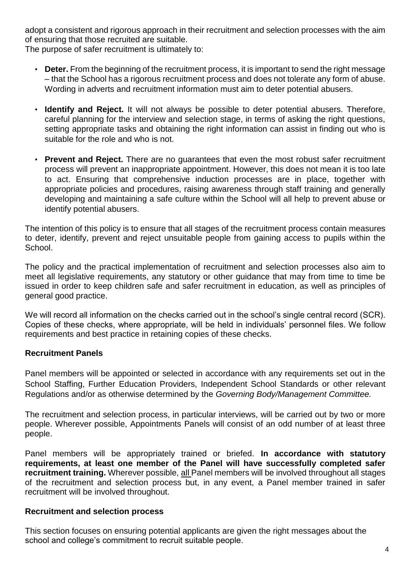adopt a consistent and rigorous approach in their recruitment and selection processes with the aim of ensuring that those recruited are suitable.

The purpose of safer recruitment is ultimately to:

- **Deter.** From the beginning of the recruitment process, it is important to send the right message – that the School has a rigorous recruitment process and does not tolerate any form of abuse. Wording in adverts and recruitment information must aim to deter potential abusers.
- **Identify and Reject.** It will not always be possible to deter potential abusers. Therefore, careful planning for the interview and selection stage, in terms of asking the right questions, setting appropriate tasks and obtaining the right information can assist in finding out who is suitable for the role and who is not.
- **Prevent and Reject.** There are no guarantees that even the most robust safer recruitment process will prevent an inappropriate appointment. However, this does not mean it is too late to act. Ensuring that comprehensive induction processes are in place, together with appropriate policies and procedures, raising awareness through staff training and generally developing and maintaining a safe culture within the School will all help to prevent abuse or identify potential abusers.

The intention of this policy is to ensure that all stages of the recruitment process contain measures to deter, identify, prevent and reject unsuitable people from gaining access to pupils within the School.

The policy and the practical implementation of recruitment and selection processes also aim to meet all legislative requirements, any statutory or other guidance that may from time to time be issued in order to keep children safe and safer recruitment in education, as well as principles of general good practice.

We will record all information on the checks carried out in the school's single central record (SCR). Copies of these checks, where appropriate, will be held in individuals' personnel files. We follow requirements and best practice in retaining copies of these checks.

## **Recruitment Panels**

Panel members will be appointed or selected in accordance with any requirements set out in the School Staffing, Further Education Providers, Independent School Standards or other relevant Regulations and/or as otherwise determined by the *Governing Body/Management Committee.*

The recruitment and selection process, in particular interviews, will be carried out by two or more people. Wherever possible, Appointments Panels will consist of an odd number of at least three people.

Panel members will be appropriately trained or briefed. **In accordance with statutory requirements, at least one member of the Panel will have successfully completed safer recruitment training.** Wherever possible, all Panel members will be involved throughout all stages of the recruitment and selection process but, in any event, a Panel member trained in safer recruitment will be involved throughout.

#### **Recruitment and selection process**

This section focuses on ensuring potential applicants are given the right messages about the school and college's commitment to recruit suitable people.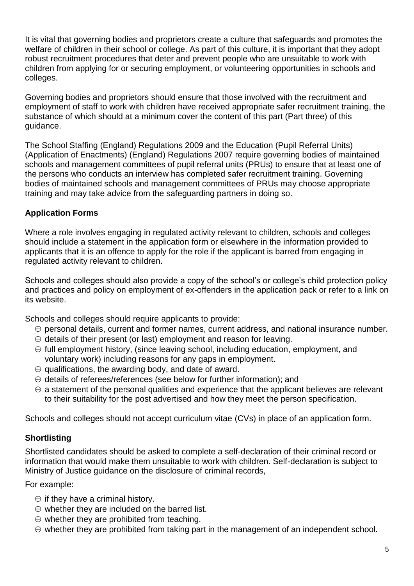It is vital that governing bodies and proprietors create a culture that safeguards and promotes the welfare of children in their school or college. As part of this culture, it is important that they adopt robust recruitment procedures that deter and prevent people who are unsuitable to work with children from applying for or securing employment, or volunteering opportunities in schools and colleges.

Governing bodies and proprietors should ensure that those involved with the recruitment and employment of staff to work with children have received appropriate safer recruitment training, the substance of which should at a minimum cover the content of this part (Part three) of this guidance.

The School Staffing (England) Regulations 2009 and the Education (Pupil Referral Units) (Application of Enactments) (England) Regulations 2007 require governing bodies of maintained schools and management committees of pupil referral units (PRUs) to ensure that at least one of the persons who conducts an interview has completed safer recruitment training. Governing bodies of maintained schools and management committees of PRUs may choose appropriate training and may take advice from the safeguarding partners in doing so.

# **Application Forms**

Where a role involves engaging in regulated activity relevant to children, schools and colleges should include a statement in the application form or elsewhere in the information provided to applicants that it is an offence to apply for the role if the applicant is barred from engaging in regulated activity relevant to children.

Schools and colleges should also provide a copy of the school's or college's child protection policy and practices and policy on employment of ex-offenders in the application pack or refer to a link on its website.

Schools and colleges should require applicants to provide:

- $\oplus$  personal details, current and former names, current address, and national insurance number.
- $\oplus$  details of their present (or last) employment and reason for leaving.
- $\oplus$  full employment history, (since leaving school, including education, employment, and voluntary work) including reasons for any gaps in employment.
- $\oplus$  qualifications, the awarding body, and date of award.
- $\oplus$  details of referees/references (see below for further information); and
- $\oplus$  a statement of the personal qualities and experience that the applicant believes are relevant to their suitability for the post advertised and how they meet the person specification.

Schools and colleges should not accept curriculum vitae (CVs) in place of an application form.

## **Shortlisting**

Shortlisted candidates should be asked to complete a self-declaration of their criminal record or information that would make them unsuitable to work with children. Self-declaration is subject to Ministry of Justice guidance on the disclosure of criminal records,

For example:

- $\oplus$  if they have a criminal history.
- $\oplus$  whether they are included on the barred list.
- $\oplus$  whether they are prohibited from teaching.
- $\oplus$  whether they are prohibited from taking part in the management of an independent school.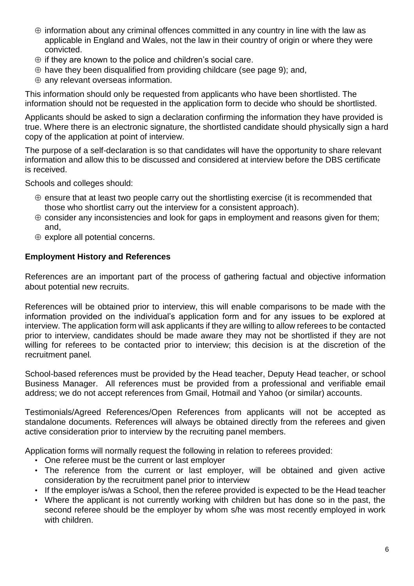- $\oplus$  information about any criminal offences committed in any country in line with the law as applicable in England and Wales, not the law in their country of origin or where they were convicted.
- $\oplus$  if they are known to the police and children's social care.
- $\oplus$  have they been disqualified from providing childcare (see page 9); and,
- $\oplus$  any relevant overseas information.

This information should only be requested from applicants who have been shortlisted. The information should not be requested in the application form to decide who should be shortlisted.

Applicants should be asked to sign a declaration confirming the information they have provided is true. Where there is an electronic signature, the shortlisted candidate should physically sign a hard copy of the application at point of interview.

The purpose of a self-declaration is so that candidates will have the opportunity to share relevant information and allow this to be discussed and considered at interview before the DBS certificate is received.

Schools and colleges should:

- $\oplus$  ensure that at least two people carry out the shortlisting exercise (it is recommended that those who shortlist carry out the interview for a consistent approach).
- $\oplus$  consider any inconsistencies and look for gaps in employment and reasons given for them; and,
- $\oplus$  explore all potential concerns.

#### **Employment History and References**

References are an important part of the process of gathering factual and objective information about potential new recruits.

References will be obtained prior to interview, this will enable comparisons to be made with the information provided on the individual's application form and for any issues to be explored at interview. The application form will ask applicants if they are willing to allow referees to be contacted prior to interview, candidates should be made aware they may not be shortlisted if they are not willing for referees to be contacted prior to interview; this decision is at the discretion of the recruitment panel*.*

School-based references must be provided by the Head teacher, Deputy Head teacher, or school Business Manager. All references must be provided from a professional and verifiable email address; we do not accept references from Gmail, Hotmail and Yahoo (or similar) accounts.

Testimonials/Agreed References/Open References from applicants will not be accepted as standalone documents. References will always be obtained directly from the referees and given active consideration prior to interview by the recruiting panel members.

Application forms will normally request the following in relation to referees provided:

- One referee must be the current or last employer
- The reference from the current or last employer, will be obtained and given active consideration by the recruitment panel prior to interview
- If the employer is/was a School, then the referee provided is expected to be the Head teacher
- Where the applicant is not currently working with children but has done so in the past, the second referee should be the employer by whom s/he was most recently employed in work with children.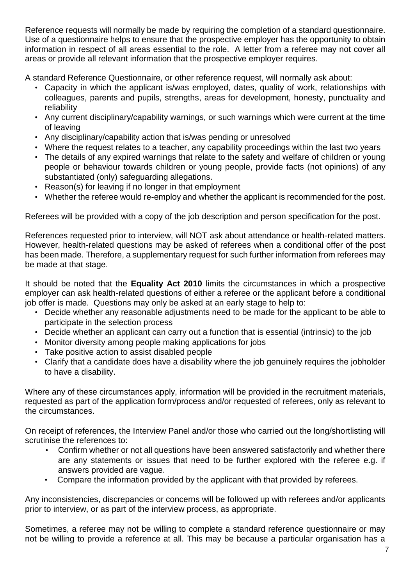Reference requests will normally be made by requiring the completion of a standard questionnaire. Use of a questionnaire helps to ensure that the prospective employer has the opportunity to obtain information in respect of all areas essential to the role. A letter from a referee may not cover all areas or provide all relevant information that the prospective employer requires.

A standard Reference Questionnaire, or other reference request, will normally ask about:

- Capacity in which the applicant is/was employed, dates, quality of work, relationships with colleagues, parents and pupils, strengths, areas for development, honesty, punctuality and reliability
- Any current disciplinary/capability warnings, or such warnings which were current at the time of leaving
- Any disciplinary/capability action that is/was pending or unresolved
- Where the request relates to a teacher, any capability proceedings within the last two years
- The details of any expired warnings that relate to the safety and welfare of children or young people or behaviour towards children or young people, provide facts (not opinions) of any substantiated (only) safeguarding allegations.
- Reason(s) for leaving if no longer in that employment
- Whether the referee would re-employ and whether the applicant is recommended for the post.

Referees will be provided with a copy of the job description and person specification for the post.

References requested prior to interview, will NOT ask about attendance or health-related matters. However, health-related questions may be asked of referees when a conditional offer of the post has been made. Therefore, a supplementary request for such further information from referees may be made at that stage.

It should be noted that the **Equality Act 2010** limits the circumstances in which a prospective employer can ask health-related questions of either a referee or the applicant before a conditional job offer is made. Questions may only be asked at an early stage to help to:

- Decide whether any reasonable adjustments need to be made for the applicant to be able to participate in the selection process
- Decide whether an applicant can carry out a function that is essential (intrinsic) to the job
- Monitor diversity among people making applications for jobs
- Take positive action to assist disabled people
- Clarify that a candidate does have a disability where the job genuinely requires the jobholder to have a disability.

Where any of these circumstances apply, information will be provided in the recruitment materials, requested as part of the application form/process and/or requested of referees, only as relevant to the circumstances.

On receipt of references, the Interview Panel and/or those who carried out the long/shortlisting will scrutinise the references to:

- Confirm whether or not all questions have been answered satisfactorily and whether there are any statements or issues that need to be further explored with the referee e.g. if answers provided are vague.
- Compare the information provided by the applicant with that provided by referees.

Any inconsistencies, discrepancies or concerns will be followed up with referees and/or applicants prior to interview, or as part of the interview process, as appropriate.

Sometimes, a referee may not be willing to complete a standard reference questionnaire or may not be willing to provide a reference at all. This may be because a particular organisation has a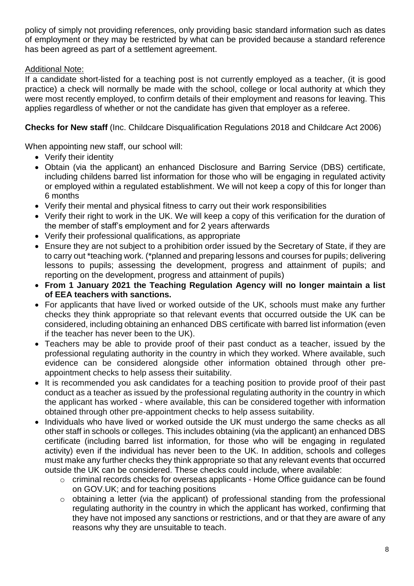policy of simply not providing references, only providing basic standard information such as dates of employment or they may be restricted by what can be provided because a standard reference has been agreed as part of a settlement agreement.

# Additional Note:

If a candidate short-listed for a teaching post is not currently employed as a teacher, (it is good practice) a check will normally be made with the school, college or local authority at which they were most recently employed, to confirm details of their employment and reasons for leaving. This applies regardless of whether or not the candidate has given that employer as a referee.

**Checks for New staff** (Inc. Childcare Disqualification Regulations 2018 and Childcare Act 2006)

When appointing new staff, our school will:

- Verify their identity
- Obtain (via the applicant) an enhanced Disclosure and Barring Service (DBS) certificate, including childens barred list information for those who will be engaging in regulated activity or employed within a regulated establishment. We will not keep a copy of this for longer than 6 months
- Verify their mental and physical fitness to carry out their work responsibilities
- Verify their right to work in the UK. We will keep a copy of this verification for the duration of the member of staff's employment and for 2 years afterwards
- Verify their professional qualifications, as appropriate
- Ensure they are not subject to a prohibition order issued by the Secretary of State, if they are to carry out \*teaching work. (\*planned and preparing lessons and courses for pupils; delivering lessons to pupils; assessing the development, progress and attainment of pupils; and reporting on the development, progress and attainment of pupils)
- **From 1 January 2021 the Teaching Regulation Agency will no longer maintain a list of EEA teachers with sanctions.**
- For applicants that have lived or worked outside of the UK, schools must make any further checks they think appropriate so that relevant events that occurred outside the UK can be considered, including obtaining an enhanced DBS certificate with barred list information (even if the teacher has never been to the UK).
- Teachers may be able to provide proof of their past conduct as a teacher, issued by the professional regulating authority in the country in which they worked. Where available, such evidence can be considered alongside other information obtained through other preappointment checks to help assess their suitability.
- It is recommended you ask candidates for a teaching position to provide proof of their past conduct as a teacher as issued by the professional regulating authority in the country in which the applicant has worked - where available, this can be considered together with information obtained through other pre-appointment checks to help assess suitability.
- Individuals who have lived or worked outside the UK must undergo the same checks as all other staff in schools or colleges. This includes obtaining (via the applicant) an enhanced DBS certificate (including barred list information, for those who will be engaging in regulated activity) even if the individual has never been to the UK. In addition, schools and colleges must make any further checks they think appropriate so that any relevant events that occurred outside the UK can be considered. These checks could include, where available:
	- o criminal records checks for overseas applicants Home Office guidance can be found on GOV.UK; and for teaching positions
	- o obtaining a letter (via the applicant) of professional standing from the professional regulating authority in the country in which the applicant has worked, confirming that they have not imposed any sanctions or restrictions, and or that they are aware of any reasons why they are unsuitable to teach.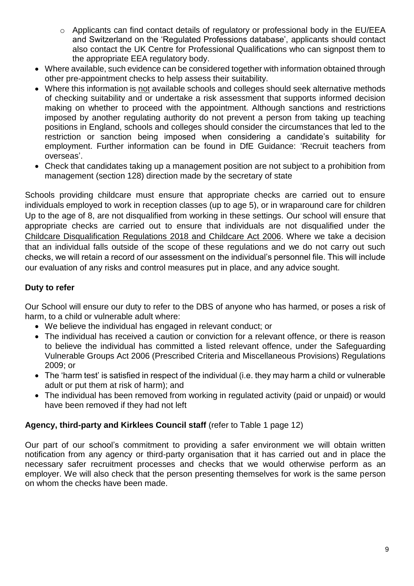- o Applicants can find contact details of regulatory or professional body in the EU/EEA and Switzerland on the 'Regulated Professions database', applicants should contact also contact the UK Centre for Professional Qualifications who can signpost them to the appropriate EEA regulatory body.
- Where available, such evidence can be considered together with information obtained through other pre-appointment checks to help assess their suitability.
- Where this information is not available schools and colleges should seek alternative methods of checking suitability and or undertake a risk assessment that supports informed decision making on whether to proceed with the appointment. Although sanctions and restrictions imposed by another regulating authority do not prevent a person from taking up teaching positions in England, schools and colleges should consider the circumstances that led to the restriction or sanction being imposed when considering a candidate's suitability for employment. Further information can be found in DfE Guidance: 'Recruit teachers from overseas'.
- Check that candidates taking up a management position are not subject to a prohibition from management (section 128) direction made by the secretary of state

Schools providing childcare must ensure that appropriate checks are carried out to ensure individuals employed to work in reception classes (up to age 5), or in wraparound care for children Up to the age of 8, are not disqualified from working in these settings. Our school will ensure that appropriate checks are carried out to ensure that individuals are not disqualified under the Childcare Disqualification Regulations 2018 and Childcare Act 2006. Where we take a decision that an individual falls outside of the scope of these regulations and we do not carry out such checks, we will retain a record of our assessment on the individual's personnel file. This will include our evaluation of any risks and control measures put in place, and any advice sought.

# **Duty to refer**

Our School will ensure our duty to refer to the DBS of anyone who has harmed, or poses a risk of harm, to a child or vulnerable adult where:

- We believe the individual has engaged in relevant conduct; or
- The individual has received a caution or conviction for a relevant offence, or there is reason to believe the individual has committed a listed relevant offence, under the Safeguarding Vulnerable Groups Act 2006 (Prescribed Criteria and Miscellaneous Provisions) Regulations 2009; or
- The 'harm test' is satisfied in respect of the individual (i.e. they may harm a child or vulnerable adult or put them at risk of harm); and
- The individual has been removed from working in regulated activity (paid or unpaid) or would have been removed if they had not left

## **Agency, third-party and Kirklees Council staff** (refer to Table 1 page 12)

Our part of our school's commitment to providing a safer environment we will obtain written notification from any agency or third-party organisation that it has carried out and in place the necessary safer recruitment processes and checks that we would otherwise perform as an employer. We will also check that the person presenting themselves for work is the same person on whom the checks have been made.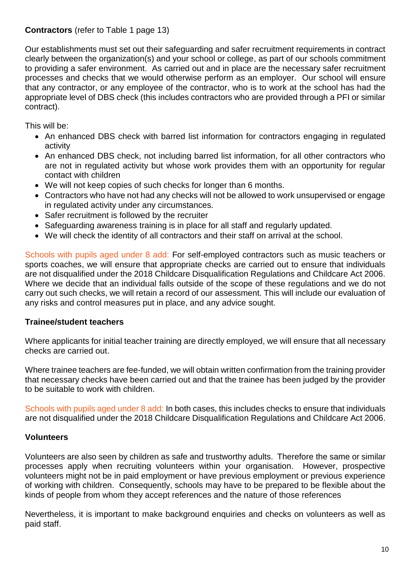## **Contractors** (refer to Table 1 page 13)

Our establishments must set out their safeguarding and safer recruitment requirements in contract clearly between the organization(s) and your school or college, as part of our schools commitment to providing a safer environment. As carried out and in place are the necessary safer recruitment processes and checks that we would otherwise perform as an employer. Our school will ensure that any contractor, or any employee of the contractor, who is to work at the school has had the appropriate level of DBS check (this includes contractors who are provided through a PFI or similar contract).

This will be:

- An enhanced DBS check with barred list information for contractors engaging in regulated activity
- An enhanced DBS check, not including barred list information, for all other contractors who are not in regulated activity but whose work provides them with an opportunity for regular contact with children
- We will not keep copies of such checks for longer than 6 months.
- Contractors who have not had any checks will not be allowed to work unsupervised or engage in regulated activity under any circumstances.
- Safer recruitment is followed by the recruiter
- Safeguarding awareness training is in place for all staff and regularly updated.
- We will check the identity of all contractors and their staff on arrival at the school.

Schools with pupils aged under 8 add: For self-employed contractors such as music teachers or sports coaches, we will ensure that appropriate checks are carried out to ensure that individuals are not disqualified under the 2018 Childcare Disqualification Regulations and Childcare Act 2006. Where we decide that an individual falls outside of the scope of these regulations and we do not carry out such checks, we will retain a record of our assessment. This will include our evaluation of any risks and control measures put in place, and any advice sought.

## **Trainee/student teachers**

Where applicants for initial teacher training are directly employed, we will ensure that all necessary checks are carried out.

Where trainee teachers are fee-funded, we will obtain written confirmation from the training provider that necessary checks have been carried out and that the trainee has been judged by the provider to be suitable to work with children.

Schools with pupils aged under 8 add: In both cases, this includes checks to ensure that individuals are not disqualified under the 2018 Childcare Disqualification Regulations and Childcare Act 2006.

# **Volunteers**

Volunteers are also seen by children as safe and trustworthy adults. Therefore the same or similar processes apply when recruiting volunteers within your organisation. However, prospective volunteers might not be in paid employment or have previous employment or previous experience of working with children. Consequently, schools may have to be prepared to be flexible about the kinds of people from whom they accept references and the nature of those references

Nevertheless, it is important to make background enquiries and checks on volunteers as well as paid staff.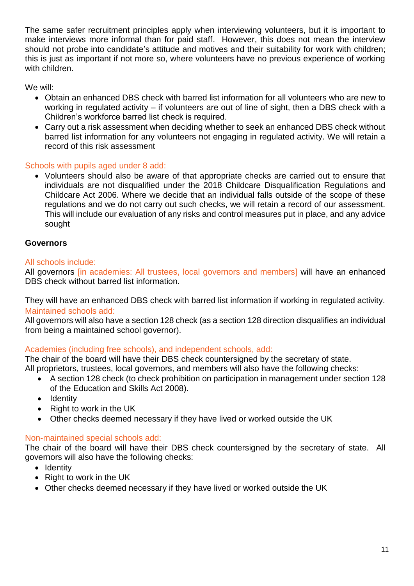The same safer recruitment principles apply when interviewing volunteers, but it is important to make interviews more informal than for paid staff. However, this does not mean the interview should not probe into candidate's attitude and motives and their suitability for work with children; this is just as important if not more so, where volunteers have no previous experience of working with children.

We will:

- Obtain an enhanced DBS check with barred list information for all volunteers who are new to working in regulated activity – if volunteers are out of line of sight, then a DBS check with a Children's workforce barred list check is required.
- Carry out a risk assessment when deciding whether to seek an enhanced DBS check without barred list information for any volunteers not engaging in regulated activity. We will retain a record of this risk assessment

## Schools with pupils aged under 8 add:

 Volunteers should also be aware of that appropriate checks are carried out to ensure that individuals are not disqualified under the 2018 Childcare Disqualification Regulations and Childcare Act 2006. Where we decide that an individual falls outside of the scope of these regulations and we do not carry out such checks, we will retain a record of our assessment. This will include our evaluation of any risks and control measures put in place, and any advice sought

#### **Governors**

#### All schools include:

All governors *lin academies: All trustees, local governors and membersl will have an enhanced* DBS check without barred list information.

They will have an enhanced DBS check with barred list information if working in regulated activity. Maintained schools add:

All governors will also have a section 128 check (as a section 128 direction disqualifies an individual from being a maintained school governor).

## Academies (including free schools), and independent schools, add:

The chair of the board will have their DBS check countersigned by the secretary of state. All proprietors, trustees, local governors, and members will also have the following checks:

- A section 128 check (to check prohibition on participation in management under [section 128](https://www.legislation.gov.uk/ukpga/2008/25/section/128)  [of the Education and Skills Act 2008\)](https://www.legislation.gov.uk/ukpga/2008/25/section/128).
- Identity
- $\bullet$  Right to work in the UK
- Other checks deemed necessary if they have lived or worked outside the UK

## Non-maintained special schools add:

The chair of the board will have their DBS check countersigned by the secretary of state. All governors will also have the following checks:

- Identity
- Right to work in the UK
- Other checks deemed necessary if they have lived or worked outside the UK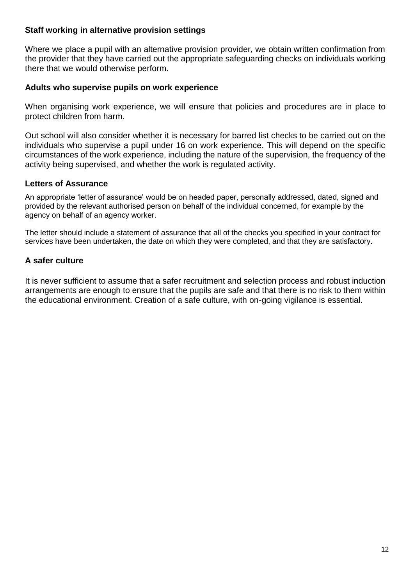#### **Staff working in alternative provision settings**

Where we place a pupil with an alternative provision provider, we obtain written confirmation from the provider that they have carried out the appropriate safeguarding checks on individuals working there that we would otherwise perform.

#### **Adults who supervise pupils on work experience**

When organising work experience, we will ensure that policies and procedures are in place to protect children from harm.

Out school will also consider whether it is necessary for barred list checks to be carried out on the individuals who supervise a pupil under 16 on work experience. This will depend on the specific circumstances of the work experience, including the nature of the supervision, the frequency of the activity being supervised, and whether the work is regulated activity.

#### **Letters of Assurance**

An appropriate 'letter of assurance' would be on headed paper, personally addressed, dated, signed and provided by the relevant authorised person on behalf of the individual concerned, for example by the agency on behalf of an agency worker.

The letter should include a statement of assurance that all of the checks you specified in your contract for services have been undertaken, the date on which they were completed, and that they are satisfactory.

## **A safer culture**

It is never sufficient to assume that a safer recruitment and selection process and robust induction arrangements are enough to ensure that the pupils are safe and that there is no risk to them within the educational environment. Creation of a safe culture, with on-going vigilance is essential.